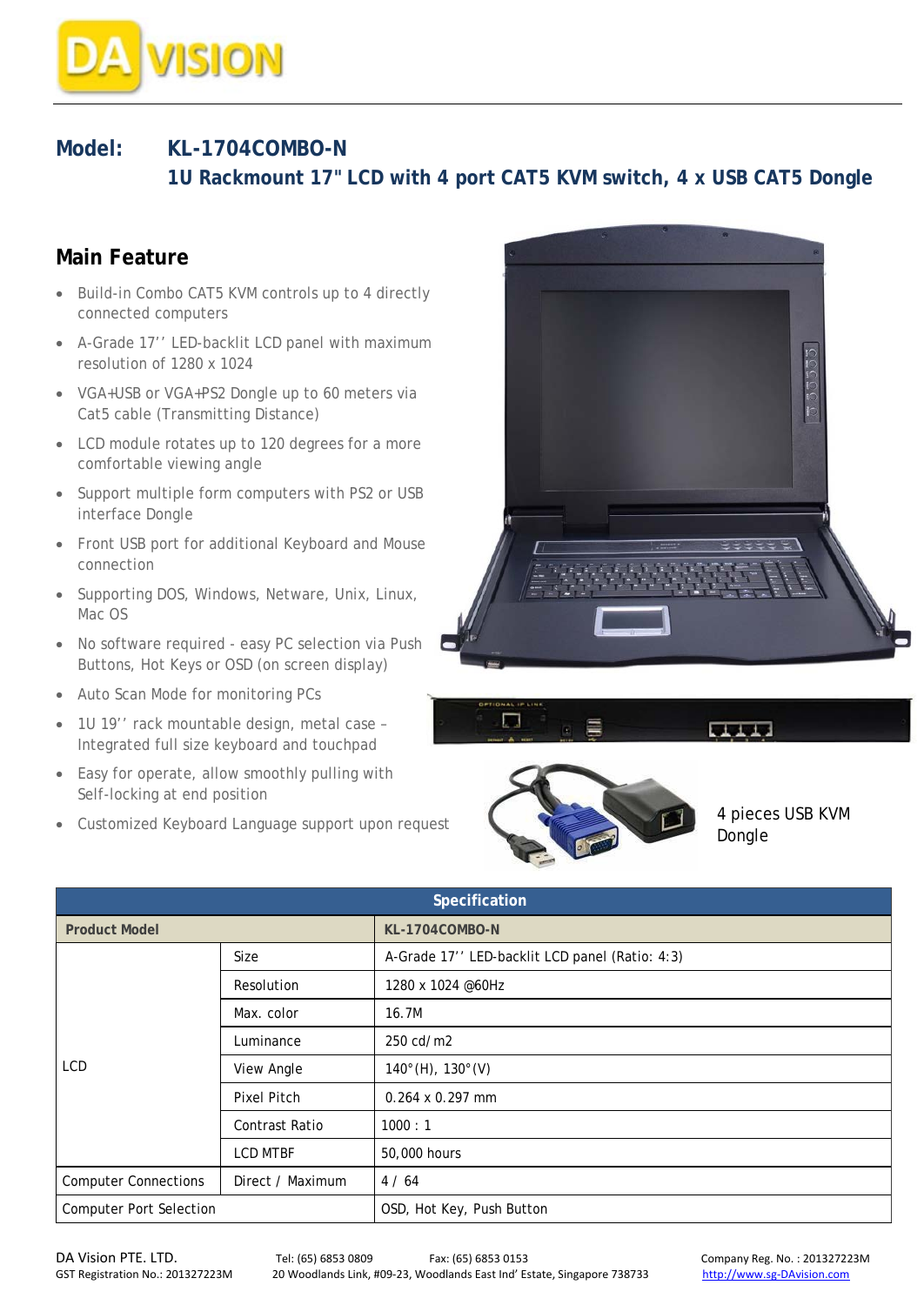

## **Model: KL-1704COMBO-N 1U Rackmount 17" LCD with 4 port CAT5 KVM switch, 4 x USB CAT5 Dongle**

## **Main Feature**

- Build-in Combo CAT5 KVM controls up to 4 directly connected computers
- A-Grade 17'' LED-backlit LCD panel with maximum resolution of 1280 x 1024
- VGA+USB or VGA+PS2 Dongle up to 60 meters via Cat5 cable (Transmitting Distance)
- LCD module rotates up to 120 degrees for a more comfortable viewing angle
- Support multiple form computers with PS2 or USB interface Dongle
- Front USB port for additional Keyboard and Mouse connection
- Supporting DOS, Windows, Netware, Unix, Linux, Mac OS
- No software required easy PC selection via Push Buttons, Hot Keys or OSD (on screen display)
- Auto Scan Mode for monitoring PCs
- 1U 19'' rack mountable design, metal case Integrated full size keyboard and touchpad
- Easy for operate, allow smoothly pulling with Self-locking at end position
- Customized Keyboard Language support upon request







4 pieces USB KVM Dongle

| Specification                  |                  |                                                |  |  |
|--------------------------------|------------------|------------------------------------------------|--|--|
| <b>Product Model</b>           |                  | KL-1704COMBO-N                                 |  |  |
| LCD                            | <b>Size</b>      | A-Grade 17" LED-backlit LCD panel (Ratio: 4:3) |  |  |
|                                | Resolution       | 1280 x 1024 @60Hz                              |  |  |
|                                | Max. color       | 16.7M                                          |  |  |
|                                | Luminance        | 250 cd/m2                                      |  |  |
|                                | View Angle       | $140^{\circ}$ (H), $130^{\circ}$ (V)           |  |  |
|                                | Pixel Pitch      | $0.264 \times 0.297$ mm                        |  |  |
|                                | Contrast Ratio   | 1000:1                                         |  |  |
|                                | <b>LCD MTBF</b>  | 50,000 hours                                   |  |  |
| <b>Computer Connections</b>    | Direct / Maximum | 4/64                                           |  |  |
| <b>Computer Port Selection</b> |                  | OSD, Hot Key, Push Button                      |  |  |